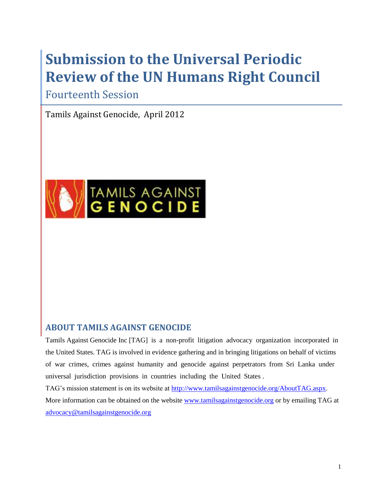# **Submission to the Universal Periodic Review of the UN Humans Right Council**

Fourteenth Session

Tamils Against Genocide, April 2012



# **ABOUT TAMILS AGAINST GENOCIDE**

Tamils Against Genocide Inc [TAG] is a non-profit litigation advocacy organization incorporated in the United States. TAG is involved in evidence gathering and in bringing litigations on behalf of victims of war crimes, crimes against humanity and genocide against perpetrators from Sri Lanka under universal jurisdiction provisions in countries including the United States .

TAG"s mission statement is on its website at [http://www.tamilsagainstgenocide.org/AboutTAG.aspx.](http://www.tamilsagainstgenocide.org/AboutTAG.aspx) More information can be obtained on the website [www.tamilsagainstgenocide.org](http://www.tamilsagainstgenocide.org/) or by emailing TAG at [advocacy@tamilsagainstgenocide.org](mailto:advocacy@tamilsagainstgenocide.org)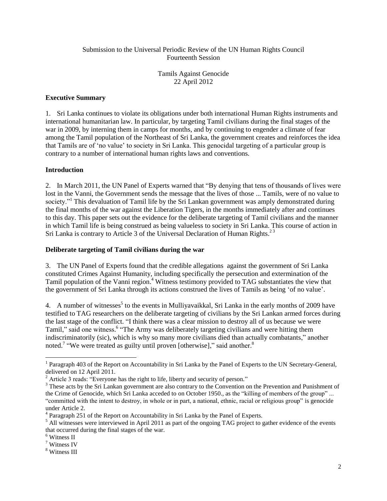#### Submission to the Universal Periodic Review of the UN Human Rights Council Fourteenth Session

Tamils Against Genocide 22 April 2012

## **Executive Summary**

1. Sri Lanka continues to violate its obligations under both international Human Rights instruments and international humanitarian law. In particular, by targeting Tamil civilians during the final stages of the war in 2009, by interning them in camps for months, and by continuing to engender a climate of fear among the Tamil population of the Northeast of Sri Lanka, the government creates and reinforces the idea that Tamils are of "no value" to society in Sri Lanka. This genocidal targeting of a particular group is contrary to a number of international human rights laws and conventions.

#### **Introduction**

2. In March 2011, the UN Panel of Experts warned that "By denying that tens of thousands of lives were lost in the Vanni, the Government sends the message that the lives of those ... Tamils, were of no value to society."<sup>1</sup> This devaluation of Tamil life by the Sri Lankan government was amply demonstrated during the final months of the war against the Liberation Tigers, in the months immediately after and continues to this day. This paper sets out the evidence for the deliberate targeting of Tamil civilians and the manner in which Tamil life is being construed as being valueless to society in Sri Lanka. This course of action in Sri Lanka is contrary to Article 3 of the Universal Declaration of Human Rights.<sup>23</sup>

# **Deliberate targeting of Tamil civilians during the war**

3. The UN Panel of Experts found that the credible allegations against the government of Sri Lanka constituted Crimes Against Humanity, including specifically the persecution and extermination of the Tamil population of the Vanni region. <sup>4</sup> Witness testimony provided to TAG substantiates the view that the government of Sri Lanka through its actions construed the lives of Tamils as being "of no value".

4. A number of witnesses<sup>5</sup> to the events in Mulliyavaikkal, Sri Lanka in the early months of 2009 have testified to TAG researchers on the deliberate targeting of civilians by the Sri Lankan armed forces during the last stage of the conflict. "I think there was a clear mission to destroy all of us because we were Tamil," said one witness.<sup>6</sup> "The Army was deliberately targeting civilians and were hitting them indiscriminatorily (sic), which is why so many more civilians died than actually combatants," another noted.<sup>7</sup> "We were treated as guilty until proven [otherwise]," said another.<sup>8</sup>

 $\overline{a}$ 

<sup>&</sup>lt;sup>1</sup> Paragraph 403 of the Report on Accountability in Sri Lanka by the Panel of Experts to the UN Secretary-General, delivered on 12 April 2011.

<sup>&</sup>lt;sup>2</sup> Article 3 reads: "Everyone has the right to life, liberty and security of person."

<sup>&</sup>lt;sup>3</sup> These acts by the Sri Lankan government are also contrary to the Convention on the Prevention and Punishment of the Crime of Genocide, which Sri Lanka acceded to on October 1950., as the "killing of members of the group" ... "committed with the intent to destroy, in whole or in part, a national, ethnic, racial or religious group" is genocide under Article 2.

<sup>&</sup>lt;sup>4</sup> Paragraph 251 of the Report on Accountability in Sri Lanka by the Panel of Experts.

<sup>&</sup>lt;sup>5</sup> All witnesses were interviewed in April 2011 as part of the ongoing TAG project to gather evidence of the events that occurred during the final stages of the war.

<sup>6</sup> Witness II

<sup>7</sup> Witness IV

<sup>8</sup> Witness III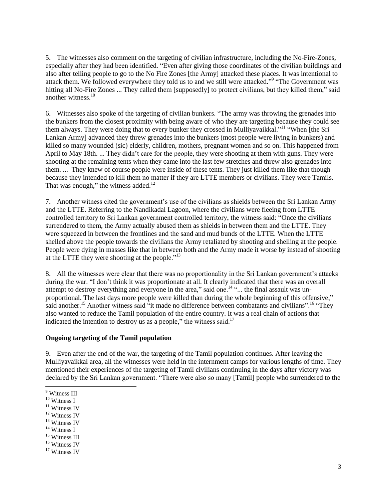5. The witnesses also comment on the targeting of civilian infrastructure, including the No-Fire-Zones, especially after they had been identified. "Even after giving those coordinates of the civilian buildings and also after telling people to go to the No Fire Zones [the Army] attacked these places. It was intentional to attack them. We followed everywhere they told us to and we still were attacked."<sup>9</sup> "The Government was hitting all No-Fire Zones ... They called them [supposedly] to protect civilians, but they killed them," said another witness.<sup>10</sup>

6. Witnesses also spoke of the targeting of civilian bunkers. "The army was throwing the grenades into the bunkers from the closest proximity with being aware of who they are targeting because they could see them always. They were doing that to every bunker they crossed in Mulliyavaikkal."<sup>11</sup> "When [the Sri Lankan Army] advanced they threw grenades into the bunkers (most people were living in bunkers) and killed so many wounded (sic) elderly, children, mothers, pregnant women and so on. This happened from April to May 18th. ... They didn"t care for the people, they were shooting at them with guns. They were shooting at the remaining tents when they came into the last few stretches and threw also grenades into them. ... They knew of course people were inside of these tents. They just killed them like that though because they intended to kill them no matter if they are LTTE members or civilians. They were Tamils. That was enough," the witness added. $12$ 

7. Another witness cited the government"s use of the civilians as shields between the Sri Lankan Army and the LTTE. Referring to the Nandikadal Lagoon, where the civilians were fleeing from LTTE controlled territory to Sri Lankan government controlled territory, the witness said: "Once the civilians surrendered to them, the Army actually abused them as shields in between them and the LTTE. They were squeezed in between the frontlines and the sand and mud bunds of the LTTE. When the LTTE shelled above the people towards the civilians the Army retaliated by shooting and shelling at the people. People were dying in masses like that in between both and the Army made it worse by instead of shooting at the LTTE they were shooting at the people."<sup>13</sup>

8. All the witnesses were clear that there was no proportionality in the Sri Lankan government's attacks during the war. "I don"t think it was proportionate at all. It clearly indicated that there was an overall attempt to destroy everything and everyone in the area," said one.<sup>14</sup> "... the final assault was unproportional. The last days more people were killed than during the whole beginning of this offensive," said another.<sup>15</sup> Another witness said "it made no difference between combatants and civilians".<sup>16</sup> "They also wanted to reduce the Tamil population of the entire country. It was a real chain of actions that indicated the intention to destroy us as a people," the witness said.<sup>17</sup>

#### **Ongoing targeting of the Tamil population**

9. Even after the end of the war, the targeting of the Tamil population continues. After leaving the Mulliyavaikkal area, all the witnesses were held in the internment camps for various lengths of time. They mentioned their experiences of the targeting of Tamil civilians continuing in the days after victory was declared by the Sri Lankan government. "There were also so many [Tamil] people who surrendered to the

l <sup>9</sup> Witness III

<sup>&</sup>lt;sup>10</sup> Witness I

<sup>&</sup>lt;sup>11</sup> Witness IV

<sup>&</sup>lt;sup>12</sup> Witness IV

<sup>&</sup>lt;sup>13</sup> Witness IV

 $14$  Witness I

<sup>&</sup>lt;sup>15</sup> Witness III

<sup>&</sup>lt;sup>16</sup> Witness IV

 $17$  Witness IV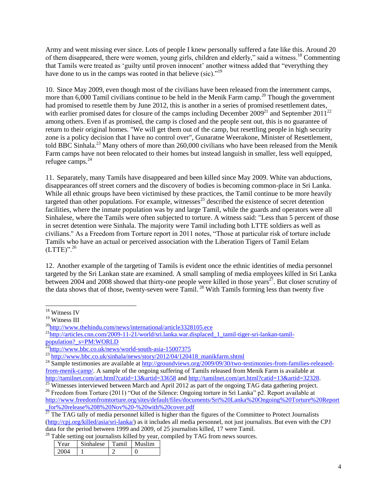Army and went missing ever since. Lots of people I knew personally suffered a fate like this. Around 20 of them disappeared, there were women, young girls, children and elderly," said a witness.<sup>18</sup> Commenting that Tamils were treated as 'guilty until proven innocent' another witness added that "everything they have done to us in the camps was rooted in that believe (sic)."<sup>19</sup>

10. Since May 2009, even though most of the civilians have been released from the internment camps, more than  $6,000$  Tamil civilians continue to be held in the Menik Farm camp.<sup>20</sup> Though the government had promised to resettle them by June 2012, this is another in a series of promised resettlement dates, with earlier promised dates for closure of the camps including December  $2009^{21}$  and September  $2011^{22}$ among others. Even if as promised, the camp is closed and the people sent out, this is no guarantee of return to their original homes. "We will get them out of the camp, but resettling people in high security zone is a policy decision that I have no control over", Gunaratne Weerakone, Minister of Resettlement, told BBC Sinhala.<sup>23</sup> Many others of more than 260,000 civilians who have been released from the Menik Farm camps have not been relocated to their homes but instead languish in smaller, less well equipped, refugee camps.<sup>24</sup>

11. Separately, many Tamils have disappeared and been killed since May 2009. White van abductions, disappearances off street corners and the discovery of bodies is becoming common-place in Sri Lanka. While all ethnic groups have been victimised by these practices, the Tamil continue to be more heavily targeted than other populations. For example, witnesses<sup>25</sup> described the existence of secret detention facilities, where the inmate population was by and large Tamil, while the guards and operators were all Sinhalese, where the Tamils were often subjected to torture. A witness said: "Less than 5 percent of those in secret detention were Sinhala. The majority were Tamil including both LTTE soldiers as well as civilians." As a Freedom from Torture report in 2011 notes, "Those at particular risk of torture include Tamils who have an actual or perceived association with the Liberation Tigers of Tamil Eelam  $(LTTE)$ ".<sup>26</sup>

12. Another example of the targeting of Tamils is evident once the ethnic identities of media personnel targeted by the Sri Lankan state are examined. A small sampling of media employees killed in Sri Lanka between 2004 and 2008 showed that thirty-one people were killed in those years<sup>27</sup>. But closer scrutiny of the data shows that of those, twenty-seven were  $Tamil$ .<sup>28</sup> With  $Tamilies$  forming less than twenty five

<sup>28</sup> Table setting out journalists killed by year, compiled by TAG from news sources.

| Year | Sinhalese | Tamil | Muslim |
|------|-----------|-------|--------|
| 2004 |           |       |        |

l <sup>18</sup> Witness IV

<sup>&</sup>lt;sup>19</sup> Witness III

<sup>&</sup>lt;sup>20</sup><http://www.thehindu.com/news/international/article3328105.ece>

 $^{21}$ http://articles.cnn.com/2009-11-21/world/sri.lanka.war.displaced 1 tamil-tiger-sri-lankan-tamil[population?\\_s=PM:WORLD](http://articles.cnn.com/2009-11-21/world/sri.lanka.war.displaced_1_tamil-tiger-sri-lankan-tamil-population?_s=PM:WORLD)

<http://www.bbc.co.uk/news/world-south-asia-15007375>

 $^{23}$ [http://www.bbc.co.uk/sinhala/news/story/2012/04/120418\\_manikfarm.shtml](http://www.bbc.co.uk/sinhala/news/story/2012/04/120418_manikfarm.shtml)

<sup>&</sup>lt;sup>24</sup> Sample testimonies are available a[t http://groundviews.org/2009/09/30/two-testimonies-from-families-released](http://groundviews.org/2009/09/30/two-testimonies-from-families-released-from-menik-camp/)[from-menik-camp/.](http://groundviews.org/2009/09/30/two-testimonies-from-families-released-from-menik-camp/) A sample of the ongoing suffering of Tamils released from Menik Farm is available at <http://tamilnet.com/art.html?catid=13&artid=33658> and [http://tamilnet.com/art.html?catid=13&artid=32328.](http://tamilnet.com/art.html?catid=13&artid=32328)

 $\frac{25}{25}$  Witnesses interviewed between March and April 2012 as part of the ongoing TAG data gathering project.

<sup>&</sup>lt;sup>26</sup> Freedom from Torture (2011) "Out of the Silence: Ongoing torture in Sri Lanka" p2. Report available at [http://www.freedomfromtorture.org/sites/default/files/documents/Sri%20Lanka%20Ongoing%20Torture%20Report](http://www.freedomfromtorture.org/sites/default/files/documents/Sri%20Lanka%20Ongoing%20Torture%20Report_for%20release%208%20Nov%20-%20with%20cover.pdf) [\\_for%20release%208%20Nov%20-%20with%20cover.pdf](http://www.freedomfromtorture.org/sites/default/files/documents/Sri%20Lanka%20Ongoing%20Torture%20Report_for%20release%208%20Nov%20-%20with%20cover.pdf)

 $\frac{27}{27}$  The TAG tally of media personnel killed is higher than the figures of the Committee to Protect Journalists [\(http://cpj.org/killed/asia/sri-lanka/\)](http://cpj.org/killed/asia/sri-lanka/) as it includes all media personnel, not just journalists. But even with the CPJ data for the period between 1999 and 2009, of 25 journalists killed, 17 were Tamil.